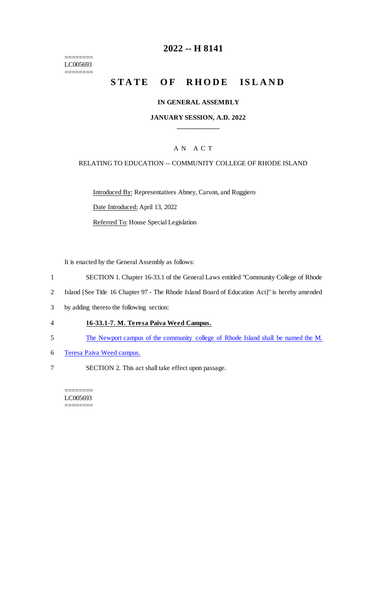======== LC005693 ========

### **2022 -- H 8141**

# **STATE OF RHODE ISLAND**

### **IN GENERAL ASSEMBLY**

### **JANUARY SESSION, A.D. 2022 \_\_\_\_\_\_\_\_\_\_\_\_**

### A N A C T

#### RELATING TO EDUCATION -- COMMUNITY COLLEGE OF RHODE ISLAND

Introduced By: Representatives Abney, Carson, and Ruggiero Date Introduced: April 13, 2022

Referred To: House Special Legislation

It is enacted by the General Assembly as follows:

- 1 SECTION 1. Chapter 16-33.1 of the General Laws entitled "Community College of Rhode
- 2 Island [See Title 16 Chapter 97 The Rhode Island Board of Education Act]" is hereby amended
- 3 by adding thereto the following section:
- 4 **16-33.1-7. M. Teresa Paiva Weed Campus.**
- 5 The Newport campus of the community college of Rhode Island shall be named the M.
- 6 Teresa Paiva Weed campus.
- 7 SECTION 2. This act shall take effect upon passage.

======== LC005693 ========